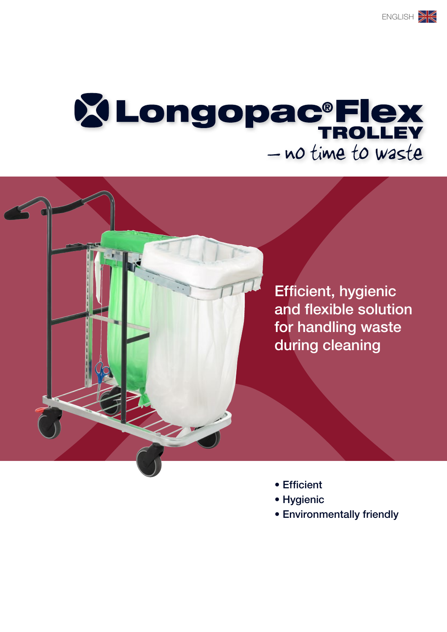# **XLongopac®Flex** - no time to waste

Efficient, hygienic and flexible solution for handling waste during cleaning

- Efficient
- Hygienic
- Environmentally friendly